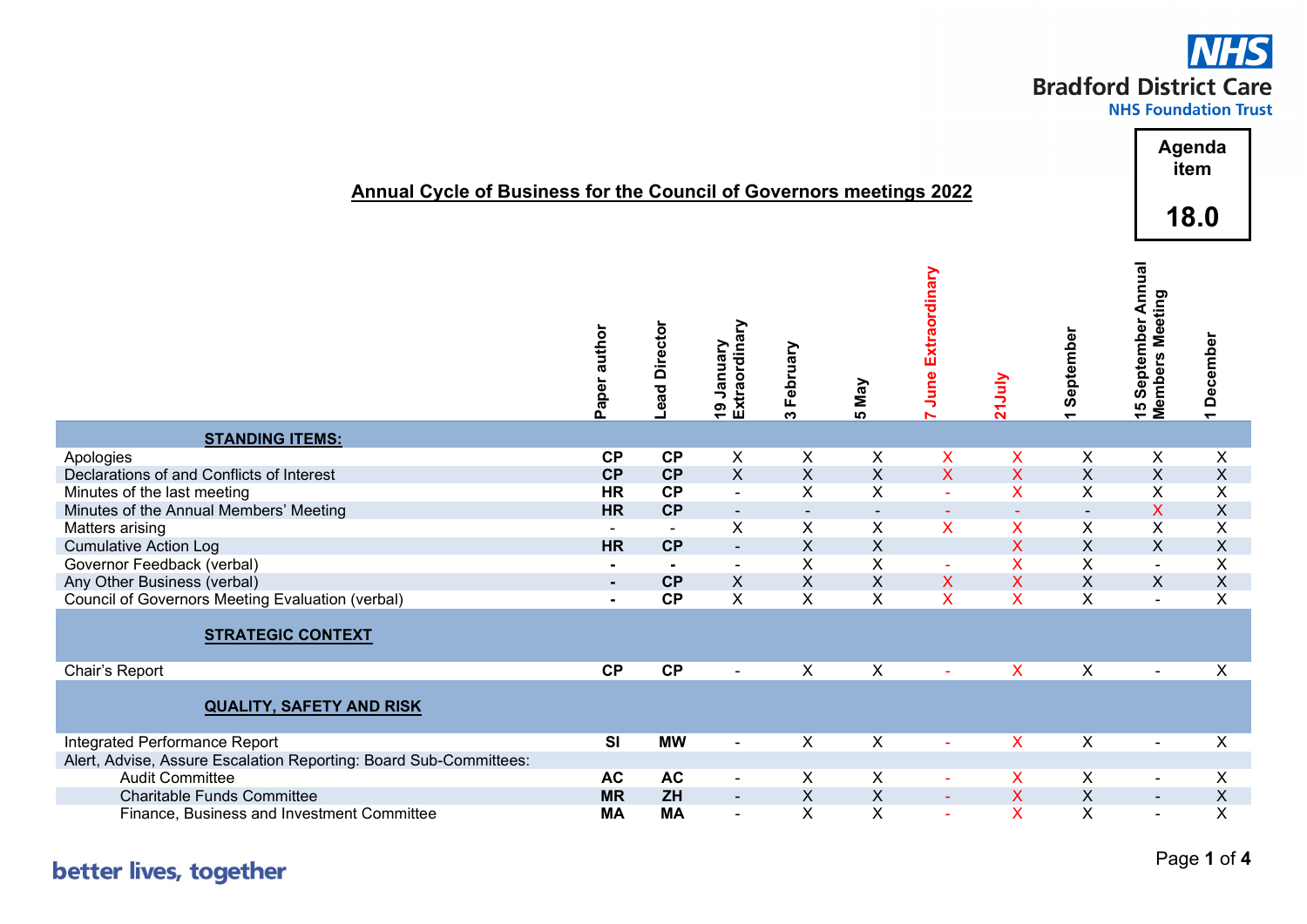## **NHS Bradford District Care**

|                                                                                                    | <b>Annual Cycle of Business for the Council of Governors meetings 2022</b> |              |                             |                    |                          |                           |                           |                                       |                                               | Agenda<br>item<br>18.0    |  |  |
|----------------------------------------------------------------------------------------------------|----------------------------------------------------------------------------|--------------|-----------------------------|--------------------|--------------------------|---------------------------|---------------------------|---------------------------------------|-----------------------------------------------|---------------------------|--|--|
|                                                                                                    | Paper author                                                               | ead Director | Extraordinary<br>19 January | 3 February         | <b>5 May</b>             | <b>June Extraordinary</b> | <b>Z1July</b>             | September<br>$\overline{\phantom{0}}$ | 15 September Annual<br><b>Members Meeting</b> | 1 December                |  |  |
| <b>STANDING ITEMS:</b>                                                                             |                                                                            |              |                             |                    |                          |                           |                           |                                       |                                               |                           |  |  |
| Apologies                                                                                          | CP                                                                         | CP           | X                           | X                  | X                        | X                         | X                         | X                                     | X                                             | X                         |  |  |
| Declarations of and Conflicts of Interest                                                          | CP                                                                         | CP           | $\mathsf{X}$                | $\mathsf X$        | X                        | $\mathsf{X}$              | $\mathsf{X}$              | $\mathsf X$                           | X                                             | $\boldsymbol{\mathsf{X}}$ |  |  |
| Minutes of the last meeting                                                                        | <b>HR</b>                                                                  | CP           | $\blacksquare$              | X                  | Χ                        | $\sim$                    | $\pmb{\mathsf{X}}$        | X                                     | X                                             | X                         |  |  |
| Minutes of the Annual Members' Meeting                                                             | <b>HR</b>                                                                  | CP           |                             | $\blacksquare$     | $\overline{\phantom{a}}$ |                           |                           | $\blacksquare$                        | X                                             | $\boldsymbol{\mathsf{X}}$ |  |  |
| Matters arising                                                                                    | $\blacksquare$                                                             | $\omega$     | X                           | $\pmb{\mathsf{X}}$ | $\mathsf X$              | $\mathsf{X}$              | $\pmb{\mathsf{X}}$        | X                                     | X                                             | X                         |  |  |
| <b>Cumulative Action Log</b>                                                                       | <b>HR</b>                                                                  | CP           | $\Box$                      | $\mathsf{X}$       | X                        |                           | $\mathsf{X}$              | $\mathsf X$                           | X                                             | $\boldsymbol{\mathsf{X}}$ |  |  |
| Governor Feedback (verbal)                                                                         |                                                                            |              | $\blacksquare$              | $\mathsf{X}$       | X                        | $\sim$                    | $\mathsf{X}$              | $\overline{X}$                        | $\blacksquare$                                | X                         |  |  |
| Any Other Business (verbal)                                                                        | $\blacksquare$                                                             | <b>CP</b>    | $\boldsymbol{\mathsf{X}}$   | $\mathsf X$        | $\pmb{\mathsf{X}}$       | X                         | $\boldsymbol{\mathsf{X}}$ | $\pmb{\times}$                        | X                                             | $\mathsf X$               |  |  |
| Council of Governors Meeting Evaluation (verbal)                                                   | $\blacksquare$                                                             | CP           | X                           | X                  | X                        | X                         | $\mathsf{X}$              | X                                     |                                               | X                         |  |  |
| <b>STRATEGIC CONTEXT</b>                                                                           |                                                                            |              |                             |                    |                          |                           |                           |                                       |                                               |                           |  |  |
| Chair's Report                                                                                     | CP                                                                         | CP           | $\blacksquare$              | $\overline{X}$     | $\overline{X}$           | $\omega$                  | $\mathsf{X}$              | $\overline{X}$                        | $\blacksquare$                                | $\overline{X}$            |  |  |
| <b>QUALITY, SAFETY AND RISK</b>                                                                    |                                                                            |              |                             |                    |                          |                           |                           |                                       |                                               |                           |  |  |
| Integrated Performance Report<br>Alert, Advise, Assure Escalation Reporting: Board Sub-Committees: | SI                                                                         | <b>MW</b>    | $\blacksquare$              | X                  | $\mathsf X$              | $\sim$                    | $\boldsymbol{\mathsf{X}}$ | X                                     | $\blacksquare$                                | X                         |  |  |
| <b>Audit Committee</b>                                                                             | <b>AC</b>                                                                  | <b>AC</b>    | $\blacksquare$              | X                  | X                        | $\blacksquare$            | $\mathsf{X}$              | X                                     | $\overline{\phantom{a}}$                      | X                         |  |  |
| <b>Charitable Funds Committee</b>                                                                  | <b>MR</b>                                                                  | ZH           | $\overline{\phantom{a}}$    | $\mathsf X$        | $\sf X$                  | $\sim$                    | $\boldsymbol{\mathsf{X}}$ | $\mathsf X$                           | $\sim$                                        | $\boldsymbol{\mathsf{X}}$ |  |  |
| Finance, Business and Investment Committee                                                         | <b>MA</b>                                                                  | <b>MA</b>    | $\blacksquare$              | X                  | X                        |                           | $\boldsymbol{\mathsf{X}}$ | $\pmb{\times}$                        | $\blacksquare$                                | X                         |  |  |

## better lives, together

Page **1** of **4**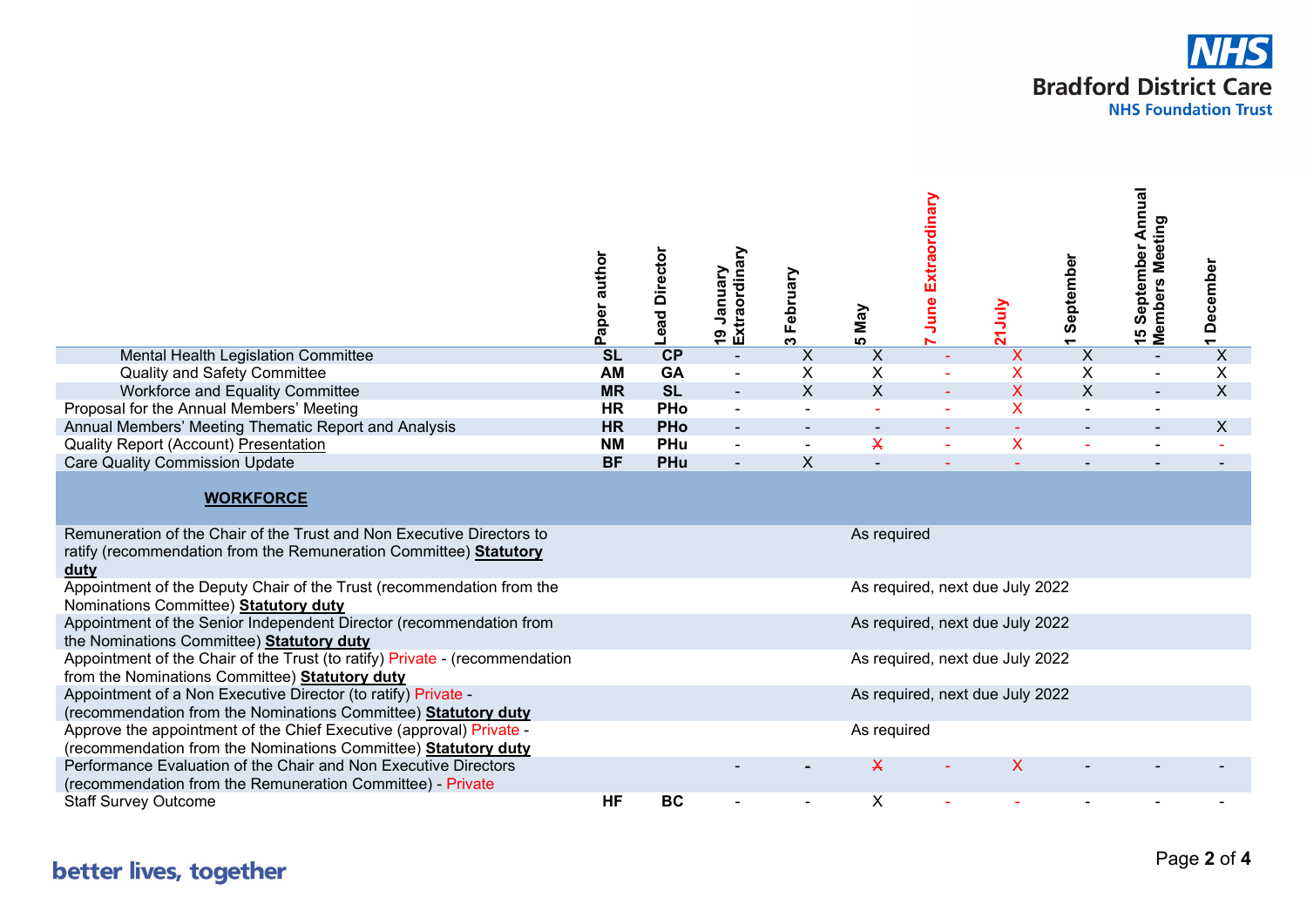

|                                                                                                                                                    | Paper author           | <b>Director</b><br>Lead | Extraordinary<br>January<br>$\mathbf{e}$ | February<br>ო             | Nay<br>n.                 | Extraordinary<br>June | ך<br>ה                          | September<br>$\overline{\phantom{0}}$ | September Annual<br>Members Meeting<br>9 | December<br>$\overline{\phantom{0}}$ |
|----------------------------------------------------------------------------------------------------------------------------------------------------|------------------------|-------------------------|------------------------------------------|---------------------------|---------------------------|-----------------------|---------------------------------|---------------------------------------|------------------------------------------|--------------------------------------|
| Mental Health Legislation Committee                                                                                                                | $\overline{\text{SL}}$ | CP                      | $\blacksquare$                           | $\boldsymbol{\mathsf{X}}$ | $\boldsymbol{\mathsf{X}}$ |                       | $\boldsymbol{\mathsf{X}}$       | $\boldsymbol{\mathsf{X}}$             |                                          | $\overline{X}$                       |
| <b>Quality and Safety Committee</b>                                                                                                                | AM                     | GA                      |                                          | X                         | X                         |                       | X                               | X                                     |                                          | X                                    |
| Workforce and Equality Committee                                                                                                                   | <b>MR</b>              | <b>SL</b>               | $\blacksquare$                           | $\mathsf{X}$              | $\sf X$                   |                       | $\overline{\mathsf{X}}$         | $\boldsymbol{\mathsf{X}}$             |                                          | $\sf X$                              |
| Proposal for the Annual Members' Meeting                                                                                                           | <b>HR</b>              | <b>PHo</b>              | $\blacksquare$                           |                           |                           |                       | X                               |                                       |                                          |                                      |
| Annual Members' Meeting Thematic Report and Analysis                                                                                               | <b>HR</b>              | <b>PHo</b>              | $\overline{\phantom{a}}$                 |                           | $\sim$                    |                       |                                 |                                       |                                          | X                                    |
| Quality Report (Account) Presentation                                                                                                              | <b>NM</b>              | PHu                     |                                          |                           | $\overline{\mathsf{X}}$   |                       | $\overline{\mathsf{X}}$         |                                       |                                          |                                      |
| <b>Care Quality Commission Update</b>                                                                                                              | <b>BF</b>              | PHu                     |                                          | $\mathsf{X}$              |                           |                       |                                 |                                       |                                          |                                      |
| <b>WORKFORCE</b>                                                                                                                                   |                        |                         |                                          |                           |                           |                       |                                 |                                       |                                          |                                      |
| Remuneration of the Chair of the Trust and Non Executive Directors to<br>ratify (recommendation from the Remuneration Committee) Statutory<br>duty |                        |                         |                                          |                           | As required               |                       |                                 |                                       |                                          |                                      |
| Appointment of the Deputy Chair of the Trust (recommendation from the<br>Nominations Committee) Statutory duty                                     |                        |                         |                                          |                           |                           |                       | As required, next due July 2022 |                                       |                                          |                                      |
| Appointment of the Senior Independent Director (recommendation from<br>the Nominations Committee) Statutory duty                                   |                        |                         |                                          |                           |                           |                       | As required, next due July 2022 |                                       |                                          |                                      |
| Appointment of the Chair of the Trust (to ratify) Private - (recommendation<br>from the Nominations Committee) Statutory duty                      |                        |                         |                                          |                           |                           |                       | As required, next due July 2022 |                                       |                                          |                                      |
| Appointment of a Non Executive Director (to ratify) Private -<br>(recommendation from the Nominations Committee) Statutory duty                    |                        |                         |                                          |                           |                           |                       | As required, next due July 2022 |                                       |                                          |                                      |
| Approve the appointment of the Chief Executive (approval) Private -<br>(recommendation from the Nominations Committee) Statutory duty              |                        |                         |                                          |                           | As required               |                       |                                 |                                       |                                          |                                      |
| Performance Evaluation of the Chair and Non Executive Directors<br>(recommendation from the Remuneration Committee) - Private                      |                        |                         |                                          |                           | X                         |                       | X                               |                                       |                                          |                                      |
| <b>Staff Survey Outcome</b>                                                                                                                        | <b>HF</b>              | <b>BC</b>               |                                          |                           | X                         |                       |                                 |                                       |                                          |                                      |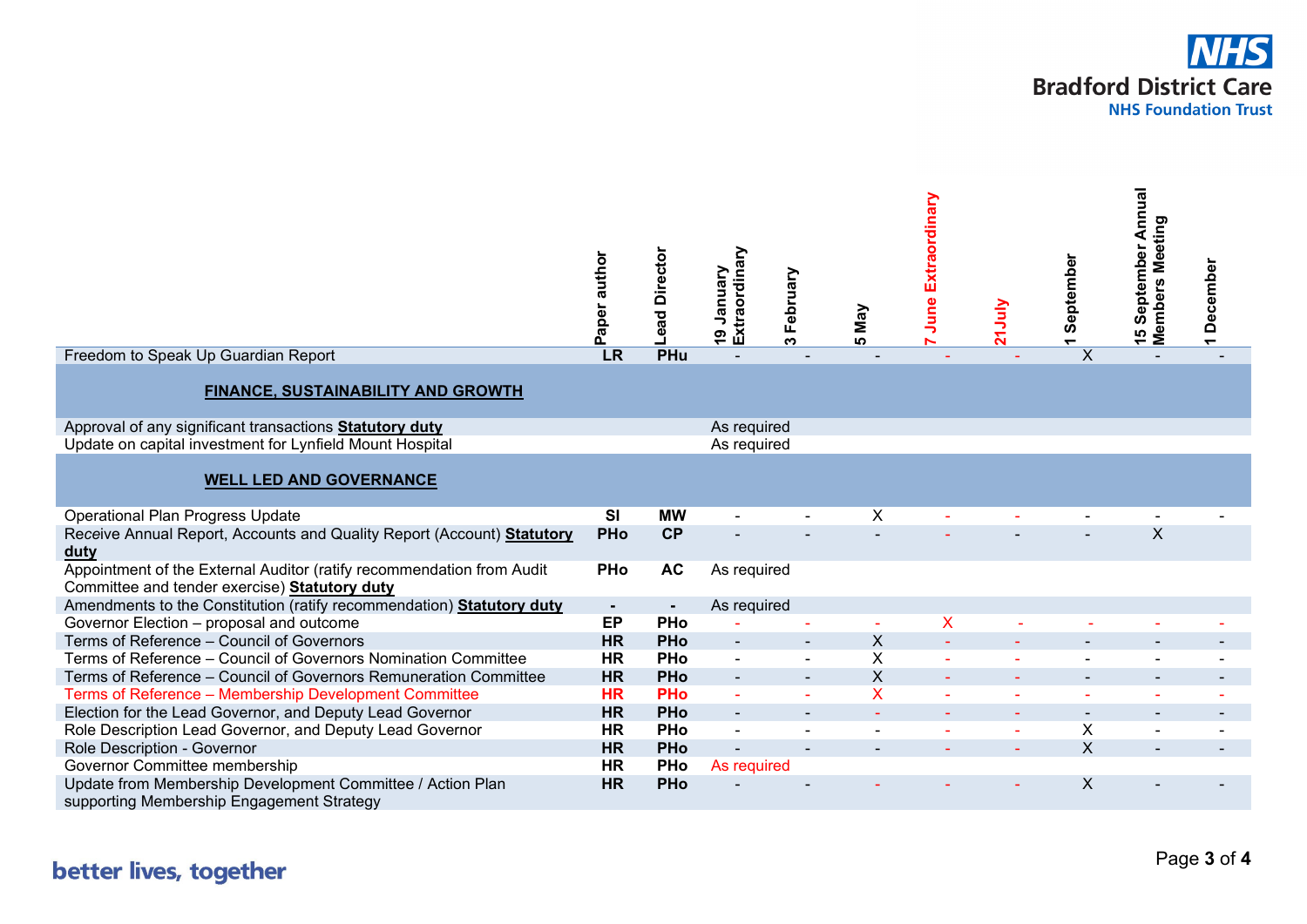

|                                                                                                                        | Paper author           | <b>Director</b><br>ead   | Extraordinary<br>yanuary<br>Vienna | February<br>ო | Vay<br><b>10</b>          | June Extraordinary | m | September               | 15 September Annual<br>Members Meeting | 1 December |
|------------------------------------------------------------------------------------------------------------------------|------------------------|--------------------------|------------------------------------|---------------|---------------------------|--------------------|---|-------------------------|----------------------------------------|------------|
| Freedom to Speak Up Guardian Report                                                                                    | LR                     | PHu                      |                                    |               |                           |                    |   | $\overline{\mathsf{x}}$ |                                        |            |
| FINANCE, SUSTAINABILITY AND GROWTH                                                                                     |                        |                          |                                    |               |                           |                    |   |                         |                                        |            |
| Approval of any significant transactions <b>Statutory duty</b>                                                         |                        |                          | As required                        |               |                           |                    |   |                         |                                        |            |
| Update on capital investment for Lynfield Mount Hospital                                                               |                        |                          | As required                        |               |                           |                    |   |                         |                                        |            |
| <b>WELL LED AND GOVERNANCE</b>                                                                                         |                        |                          |                                    |               |                           |                    |   |                         |                                        |            |
| <b>Operational Plan Progress Update</b>                                                                                | SI                     | <b>MW</b>                |                                    |               | X                         |                    |   |                         |                                        |            |
| Receive Annual Report, Accounts and Quality Report (Account) Statutory<br>duty                                         | <b>PHo</b>             | <b>CP</b>                |                                    |               |                           |                    |   |                         | $\boldsymbol{\mathsf{X}}$              |            |
| Appointment of the External Auditor (ratify recommendation from Audit<br>Committee and tender exercise) Statutory duty | <b>PHo</b>             | <b>AC</b>                | As required                        |               |                           |                    |   |                         |                                        |            |
| Amendments to the Constitution (ratify recommendation) Statutory duty                                                  | $\blacksquare$         | $\blacksquare$           | As required                        |               |                           |                    |   |                         |                                        |            |
| Governor Election - proposal and outcome                                                                               | EP                     | <b>PHo</b>               |                                    |               | ÷.                        | X                  |   |                         |                                        |            |
| Terms of Reference - Council of Governors<br>Terms of Reference - Council of Governors Nomination Committee            | <b>HR</b><br><b>HR</b> | <b>PHo</b>               | $\overline{\phantom{a}}$           |               | X<br>X                    |                    |   |                         |                                        |            |
| Terms of Reference - Council of Governors Remuneration Committee                                                       | <b>HR</b>              | <b>PHo</b><br><b>PHo</b> | $\blacksquare$<br>$\sim$           |               | $\boldsymbol{\mathsf{X}}$ | ÷.                 |   |                         |                                        |            |
| Terms of Reference - Membership Development Committee                                                                  | <b>HR</b>              | <b>PHo</b>               | ä,                                 |               | X                         |                    |   |                         |                                        |            |
| Election for the Lead Governor, and Deputy Lead Governor                                                               | <b>HR</b>              | <b>PHo</b>               |                                    |               |                           |                    |   |                         |                                        |            |
| Role Description Lead Governor, and Deputy Lead Governor                                                               | <b>HR</b>              | <b>PHo</b>               |                                    |               |                           |                    |   | Χ                       |                                        |            |
| Role Description - Governor                                                                                            | <b>HR</b>              | <b>PHo</b>               |                                    |               |                           |                    |   | $\mathsf{x}$            |                                        |            |
| Governor Committee membership                                                                                          | <b>HR</b>              | <b>PHo</b>               | As required                        |               |                           |                    |   |                         |                                        |            |
| Update from Membership Development Committee / Action Plan<br>supporting Membership Engagement Strategy                | <b>HR</b>              | <b>PHo</b>               |                                    |               |                           |                    |   | X                       |                                        |            |